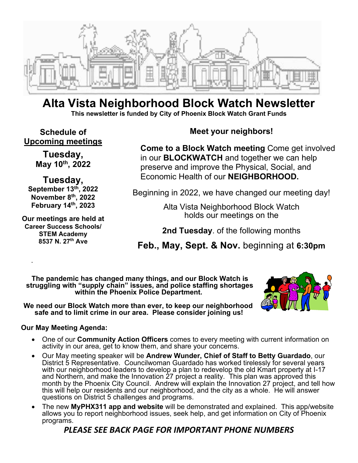

### **Alta Vista Neighborhood Block Watch Newsletter This newsletter is funded by City of Phoenix Block Watch Grant Funds**

**Schedule of Upcoming meetings** 

> **Tuesday, May 10th, 2022**

**Tuesday, September 13th, 2022 November 8th, 2022 February 14th, 2023** 

**Our meetings are held at Career Success Schools/ STEM Academy 8537 N. 27th Ave** 

.

### **Meet your neighbors!**

**Come to a Block Watch meeting** Come get involved in our **BLOCKWATCH** and together we can help preserve and improve the Physical, Social, and Economic Health of our **NEIGHBORHOOD.** 

Beginning in 2022, we have changed our meeting day!

Alta Vista Neighborhood Block Watch holds our meetings on the

**2nd Tuesday**. of the following months

**Feb., May, Sept. & Nov.** beginning at **6:30pm**

**The pandemic has changed many things, and our Block Watch is struggling with "supply chain" issues, and police staffing shortages within the Phoenix Police Department.** 

**We need our Block Watch more than ever, to keep our neighborhood safe and to limit crime in our area. Please consider joining us!** 

### **Our May Meeting Agenda:**

- One of our **Community Action Officers** comes to every meeting with current information on activity in our area, get to know them, and share your concerns.
- Our May meeting speaker will be **Andrew Wunder, Chief of Staff to Betty Guardado**, our District 5 Representative. Councilwoman Guardado has worked tirelessly for several years with our neighborhood leaders to develop a plan to redevelop the old Kmart property at I-17 and Northern, and make the Innovation 27 project a reality. This plan was approved this month by the Phoenix City Council. Andrew will explain the Innovation 27 project, and tell how this will help our residents and our neighborhood, and the city as a whole. He will answer questions on District 5 challenges and programs.
- The new **MyPHX311 app and website** will be demonstrated and explained. This app/website allows you to report neighborhood issues, seek help, and get information on City of Phoenix programs.

### *PLEASE SEE BACK PAGE FOR IMPORTANT PHONE NUMBERS*

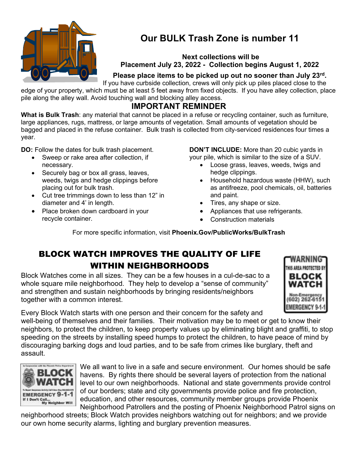

# **Our BULK Trash Zone is number 11**

 **Next collections will be Placement July 23, 2022 - Collection begins August 1, 2022** 

### **Please place items to be picked up out no sooner than July 23rd .**

If you have curbside collection, crews will only pick up piles placed close to the edge of your property, which must be at least 5 feet away from fixed objects. If you have alley collection, place pile along the alley wall. Avoid touching wall and blocking alley access.

### **IMPORTANT REMINDER**

**What is Bulk Trash**: any material that cannot be placed in a refuse or recycling container, such as furniture, large appliances, rugs, mattress, or large amounts of vegetation. Small amounts of vegetation should be bagged and placed in the refuse container. Bulk trash is collected from city-serviced residences four times a year.

**DO:** Follow the dates for bulk trash placement.

- Sweep or rake area after collection, if necessary.
- Securely bag or box all grass, leaves, weeds, twigs and hedge clippings before placing out for bulk trash.
- Cut tree trimmings down to less than 12" in diameter and 4' in length.
- Place broken down cardboard in your recycle container.

**DON'T INCLUDE:** More than 20 cubic yards in your pile, which is similar to the size of a SUV.

- Loose grass, leaves, weeds, twigs and hedge clippings.
- Household hazardous waste (HHW), such as antifreeze, pool chemicals, oil, batteries and paint.
- Tires, any shape or size.
- Appliances that use refrigerants.
- Construction materials

For more specific information, visit **Phoenix.Gov/PublicWorks/BulkTrash**

## BLOCK WATCH IMPROVES THE QUALITY OF LIFE WITHIN NEIGHBORHOODS

Block Watches come in all sizes. They can be a few houses in a cul-de-sac to a whole square mile neighborhood. They help to develop a "sense of community" and strengthen and sustain neighborhoods by bringing residents/neighbors together with a common interest.



Every Block Watch starts with one person and their concern for the safety and

well-being of themselves and their families. Their motivation may be to meet or get to know their neighbors, to protect the children, to keep property values up by eliminating blight and graffiti, to stop speeding on the streets by installing speed humps to protect the children, to have peace of mind by discouraging barking dogs and loud parties, and to be safe from crimes like burglary, theft and assault.



We all want to live in a safe and secure environment. Our homes should be safe havens. By rights there should be several layers of protection from the national level to our own neighborhoods. National and state governments provide control of our borders; state and city governments provide police and fire protection, education, and other resources, community member groups provide Phoenix Neighborhood Patrollers and the posting of Phoenix Neighborhood Patrol signs on

neighborhood streets; Block Watch provides neighbors watching out for neighbors; and we provide our own home security alarms, lighting and burglary prevention measures.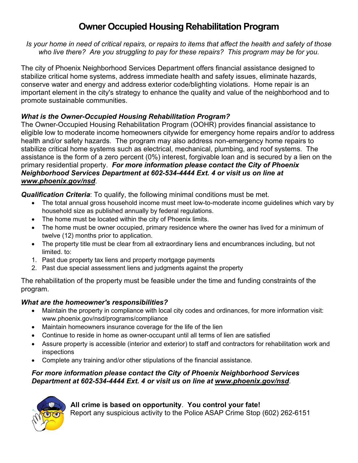# **Owner Occupied Housing Rehabilitation Program**

*Is your home in need of critical repairs, or repairs to items that affect the health and safety of those who live there? Are you struggling to pay for these repairs? This program may be for you.* 

The city of Phoenix Neighborhood Services Department offers financial assistance designed to stabilize critical home systems, address immediate health and safety issues, eliminate hazards, conserve water and energy and address exterior code/blighting violations. Home repair is an important element in the city's strategy to enhance the quality and value of the neighborhood and to promote sustainable communities.

### *What is the Owner-Occupied Housing Rehabilitation Program?*

The Owner-Occupied Housing Rehabilitation Program (OOHR) provides financial assistance to eligible low to moderate income homeowners citywide for emergency home repairs and/or to address health and/or safety hazards. The program may also address non-emergency home repairs to stabilize critical home systems such as electrical, mechanical, plumbing, and roof systems. The assistance is the form of a zero percent (0%) interest, forgivable loan and is secured by a lien on the primary residential property. *For more information please contact the City of Phoenix Neighborhood Services Department at 602-534-4444 Ext. 4 or visit us on line at www.phoenix.gov/nsd*.

*Qualification Criteria*: To qualify, the following minimal conditions must be met.

- The total annual gross household income must meet low-to-moderate income guidelines which vary by household size as published annually by federal regulations.
- The home must be located within the city of Phoenix limits.
- The home must be owner occupied, primary residence where the owner has lived for a minimum of twelve (12) months prior to application.
- The property title must be clear from all extraordinary liens and encumbrances including, but not limited. to:
- 1. Past due property tax liens and property mortgage payments
- 2. Past due special assessment liens and judgments against the property

The rehabilitation of the property must be feasible under the time and funding constraints of the program.

### *What are the homeowner's responsibilities?*

- Maintain the property in compliance with local city codes and ordinances, for more information visit: www.phoenix.gov/nsd/programs/compliance
- Maintain homeowners insurance coverage for the life of the lien
- Continue to reside in home as owner-occupant until all terms of lien are satisfied
- Assure property is accessible (interior and exterior) to staff and contractors for rehabilitation work and inspections
- Complete any training and/or other stipulations of the financial assistance.

#### *For more information please contact the City of Phoenix Neighborhood Services Department at 602-534-4444 Ext. 4 or visit us on line at www.phoenix.gov/nsd*.



**All crime is based on opportunity**. **You control your fate!**  Report any suspicious activity to the Police ASAP Crime Stop (602) 262-6151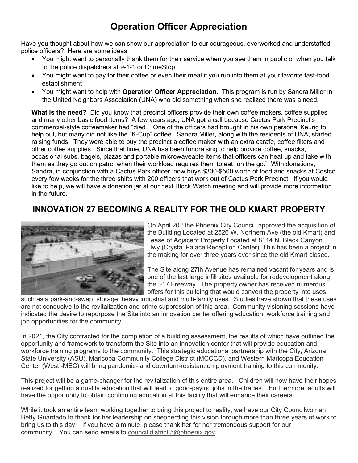# **Operation Officer Appreciation**

Have you thought about how we can show our appreciation to our courageous, overworked and understaffed police officers? Here are some ideas:

- You might want to personally thank them for their service when you see them in public or when you talk to the police dispatchers at 9-1-1 or CrimeStop
- You might want to pay for their coffee or even their meal if you run into them at your favorite fast-food establishment
- You might want to help with **Operation Officer Appreciation**. This program is run by Sandra Miller in the United Neighbors Association (UNA) who did something when she realized there was a need.

**What is the need?** Did you know that precinct officers provide their own coffee makers, coffee supplies and many other basic food items? A few years ago, UNA got a call because Cactus Park Precinct's commercial-style coffeemaker had "died." One of the officers had brought in his own personal Keurig to help out, but many did not like the "K-Cup" coffee. Sandra Miller, along with the residents of UNA, started raising funds. They were able to buy the precinct a coffee maker with an extra carafe, coffee filters and other coffee supplies. Since that time, UNA has been fundraising to help provide coffee, snacks, occasional subs, bagels, pizzas and portable microwaveable items that officers can heat up and take with them as they go out on patrol when their workload requires them to eat "on the go." With donations, Sandra, in conjunction with a Cactus Park officer, now buys \$300-\$500 worth of food and snacks at Costco every few weeks for the three shifts with 200 officers that work out of Cactus Park Precinct. If you would like to help, we will have a donation jar at our next Block Watch meeting and will provide more information in the future.

### **INNOVATION 27 BECOMING A REALITY FOR THE OLD KMART PROPERTY**



On April 20<sup>th</sup> the Phoenix City Council approved the acquisition of the Building Located at 2526 W. Northern Ave (the old Kmart) and Lease of Adjacent Property Located at 8114 N. Black Canyon Hwy (Crystal Palace Reception Center). This has been a project in the making for over three years ever since the old Kmart closed.

The Site along 27th Avenue has remained vacant for years and is one of the last large infill sites available for redevelopment along the I-17 Freeway. The property owner has received numerous offers for this building that would convert the property into uses

such as a park-and-swap, storage, heavy industrial and multi-family uses. Studies have shown that these uses are not conducive to the revitalization and crime suppression of this area. Community visioning sessions have indicated the desire to repurpose the Site into an innovation center offering education, workforce training and job opportunities for the community.

In 2021, the City contracted for the completion of a building assessment, the results of which have outlined the opportunity and framework to transform the Site into an innovation center that will provide education and workforce training programs to the community. This strategic educational partnership with the City, Arizona State University (ASU), Maricopa Community College District (MCCCD), and Western Maricopa Education Center (West -MEC) will bring pandemic- and downturn-resistant employment training to this community.

This project will be a game-changer for the revitalization of this entire area. Children will now have their hopes realized for getting a quality education that will lead to good-paying jobs in the trades. Furthermore, adults will have the opportunity to obtain continuing education at this facility that will enhance their careers.

While it took an entire team working together to bring this project to reality, we have our City Councilwoman Betty Guardado to thank for her leadership on shepherding this vision through more than three years of work to bring us to this day. If you have a minute, please thank her for her tremendous support for our community. You can send emails to council.district.5@phoenix.gov.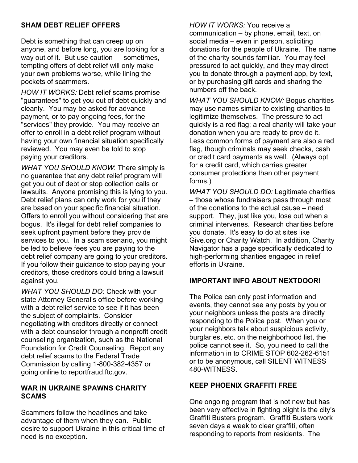### **SHAM DEBT RELIEF OFFERS**

Debt is something that can creep up on anyone, and before long, you are looking for a way out of it. But use caution — sometimes, tempting offers of debt relief will only make your own problems worse, while lining the pockets of scammers.

*HOW IT WORKS:* Debt relief scams promise "guarantees" to get you out of debt quickly and cleanly. You may be asked for advance payment, or to pay ongoing fees, for the "services" they provide. You may receive an offer to enroll in a debt relief program without having your own financial situation specifically reviewed. You may even be told to stop paying your creditors.

*WHAT YOU SHOULD KNOW*: There simply is no guarantee that any debt relief program will get you out of debt or stop collection calls or lawsuits. Anyone promising this is lying to you. Debt relief plans can only work for you if they are based on your specific financial situation. Offers to enroll you without considering that are bogus. It's illegal for debt relief companies to seek upfront payment before they provide services to you. In a scam scenario, you might be led to believe fees you are paying to the debt relief company are going to your creditors. If you follow their guidance to stop paying your creditors, those creditors could bring a lawsuit against you.

*WHAT YOU SHOULD DO:* Check with your state Attorney General's office before working with a debt relief service to see if it has been the subject of complaints. Consider negotiating with creditors directly or connect with a debt counselor through a nonprofit credit counseling organization, such as the National Foundation for Credit Counseling. Report any debt relief scams to the Federal Trade Commission by calling 1-800-382-4357 or going online to reportfraud.ftc.gov.

#### **WAR IN UKRAINE SPAWNS CHARITY SCAMS**

Scammers follow the headlines and take advantage of them when they can. Public desire to support Ukraine in this critical time of need is no exception.

*HOW IT WORKS:* You receive a communication – by phone, email, text, on social media – even in person, soliciting donations for the people of Ukraine. The name of the charity sounds familiar. You may feel pressured to act quickly, and they may direct you to donate through a payment app, by text, or by purchasing gift cards and sharing the numbers off the back.

*WHAT YOU SHOULD KNOW:* Bogus charities may use names similar to existing charities to legitimize themselves. The pressure to act quickly is a red flag; a real charity will take your donation when you are ready to provide it. Less common forms of payment are also a red flag, though criminals may seek checks, cash or credit card payments as well. (Always opt for a credit card, which carries greater consumer protections than other payment forms.)

*WHAT YOU SHOULD DO:* Legitimate charities – those whose fundraisers pass through most of the donations to the actual cause – need support. They, just like you, lose out when a criminal intervenes. Research charities before you donate. It's easy to do at sites like Give.org or Charity Watch. In addition, Charity Navigator has a page specifically dedicated to high-performing charities engaged in relief efforts in Ukraine.

#### **IMPORTANT INFO ABOUT NEXTDOOR!**

The Police can only post information and events, they cannot see any posts by you or your neighbors unless the posts are directly responding to the Police post. When you or your neighbors talk about suspicious activity, burglaries, etc. on the neighborhood list, the police cannot see it. So, you need to call the information in to CRIME STOP 602-262-6151 or to be anonymous, call SILENT WITNESS 480-WITNESS.

#### **KEEP PHOENIX GRAFFITI FREE**

One ongoing program that is not new but has been very effective in fighting blight is the city's Graffiti Busters program. Graffiti Busters work seven days a week to clear graffiti, often responding to reports from residents. The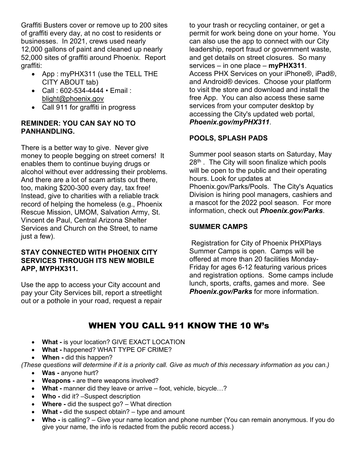Graffiti Busters cover or remove up to 200 sites of graffiti every day, at no cost to residents or businesses. In 2021, crews used nearly 12,000 gallons of paint and cleaned up nearly 52,000 sites of graffiti around Phoenix. Report graffiti:

- App : myPHX311 (use the TELL THE CITY ABOUT tab)
- Call : 602-534-4444 Email : blight@phoenix.gov
- Call 911 for graffiti in progress

#### **REMINDER: YOU CAN SAY NO TO PANHANDLING.**

There is a better way to give. Never give money to people begging on street corners! It enables them to continue buying drugs or alcohol without ever addressing their problems. And there are a lot of scam artists out there, too, making \$200-300 every day, tax free! Instead, give to charities with a reliable track record of helping the homeless (e.g., Phoenix Rescue Mission, UMOM, Salvation Army, St. Vincent de Paul, Central Arizona Shelter Services and Church on the Street, to name just a few).

#### **STAY CONNECTED WITH PHOENIX CITY SERVICES THROUGH ITS NEW MOBILE APP, MYPHX311.**

Use the app to access your City account and pay your City Services bill, report a streetlight out or a pothole in your road, request a repair

to your trash or recycling container, or get a permit for work being done on your home. You can also use the app to connect with our City leadership, report fraud or government waste, and get details on street closures. So many services – in one place – **myPHX311**. Access PHX Services on your iPhone®, iPad®, and Android® devices. Choose your platform to visit the store and download and install the free App. You can also access these same services from your computer desktop by accessing the City's updated web portal, *Phoenix.gov/myPHX311*.

### **POOLS, SPLASH PADS**

Summer pool season starts on Saturday, May  $28<sup>th</sup>$ . The City will soon finalize which pools will be open to the public and their operating hours. Look for updates at Phoenix.gov/Parks/Pools. The City's Aquatics Division is hiring pool managers, cashiers and a mascot for the 2022 pool season. For more information, check out *Phoenix.gov/Parks*.

#### **SUMMER CAMPS**

 Registration for City of Phoenix PHXPlays Summer Camps is open. Camps will be offered at more than 20 facilities Monday-Friday for ages 6-12 featuring various prices and registration options. Some camps include lunch, sports, crafts, games and more. See *Phoenix.gov/Parks* for more information.

## WHEN YOU CALL 911 KNOW THE 10 W's

- **What** is your location? GIVE EXACT LOCATION
- **What** happened? WHAT TYPE OF CRIME?
- **When** did this happen?
- *(These questions will determine if it is a priority call. Give as much of this necessary information as you can.)* 
	- **Was** anyone hurt?
	- **Weapons** are there weapons involved?
	- **What** manner did they leave or arrive foot, vehicle, bicycle…?
	- Who did it? –Suspect description
	- **Where** did the suspect go? What direction
	- **What** did the suspect obtain? type and amount
	- **Who** is calling? Give your name location and phone number (You can remain anonymous. If you do give your name, the info is redacted from the public record access.)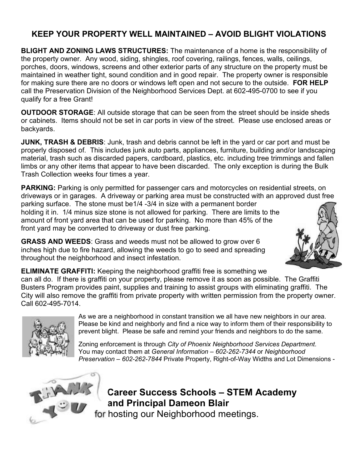### **KEEP YOUR PROPERTY WELL MAINTAINED – AVOID BLIGHT VIOLATIONS**

**BLIGHT AND ZONING LAWS STRUCTURES:** The maintenance of a home is the responsibility of the property owner. Any wood, siding, shingles, roof covering, railings, fences, walls, ceilings, porches, doors, windows, screens and other exterior parts of any structure on the property must be maintained in weather tight, sound condition and in good repair. The property owner is responsible for making sure there are no doors or windows left open and not secure to the outside. **FOR HELP** call the Preservation Division of the Neighborhood Services Dept. at 602-495-0700 to see if you qualify for a free Grant!

**OUTDOOR STORAGE**: All outside storage that can be seen from the street should be inside sheds or cabinets. Items should not be set in car ports in view of the street. Please use enclosed areas or backyards.

**JUNK, TRASH & DEBRIS**: Junk, trash and debris cannot be left in the yard or car port and must be properly disposed of. This includes junk auto parts, appliances, furniture, building and/or landscaping material, trash such as discarded papers, cardboard, plastics, etc. including tree trimmings and fallen limbs or any other items that appear to have been discarded. The only exception is during the Bulk Trash Collection weeks four times a year.

**PARKING:** Parking is only permitted for passenger cars and motorcycles on residential streets, on driveways or in garages. A driveway or parking area must be constructed with an approved dust free

parking surface. The stone must be1/4 -3/4 in size with a permanent border holding it in. 1/4 minus size stone is not allowed for parking. There are limits to the amount of front yard area that can be used for parking. No more than 45% of the front yard may be converted to driveway or dust free parking.

**GRASS AND WEEDS**: Grass and weeds must not be allowed to grow over 6 inches high due to fire hazard, allowing the weeds to go to seed and spreading throughout the neighborhood and insect infestation.



**ELIMINATE GRAFFITI:** Keeping the neighborhood graffiti free is something we can all do. If there is graffiti on your property, please remove it as soon as possible. The Graffiti Busters Program provides paint, supplies and training to assist groups with eliminating graffiti. The City will also remove the graffiti from private property with written permission from the property owner. Call 602-495-7014.



As we are a neighborhood in constant transition we all have new neighbors in our area. Please be kind and neighborly and find a nice way to inform them of their responsibility to prevent blight. Please be safe and remind your friends and neighbors to do the same.

Zoning enforcement is through *City of Phoenix Neighborhood Services Department*. You may contact them at *General Information – 602-262-7344* or *Neighborhood Preservation – 602-262-7844* Private Property, Right-of-Way Widths and Lot Dimensions -



**Career Success Schools – STEM Academy and Principal Dameon Blair**  for hosting our Neighborhood meetings.